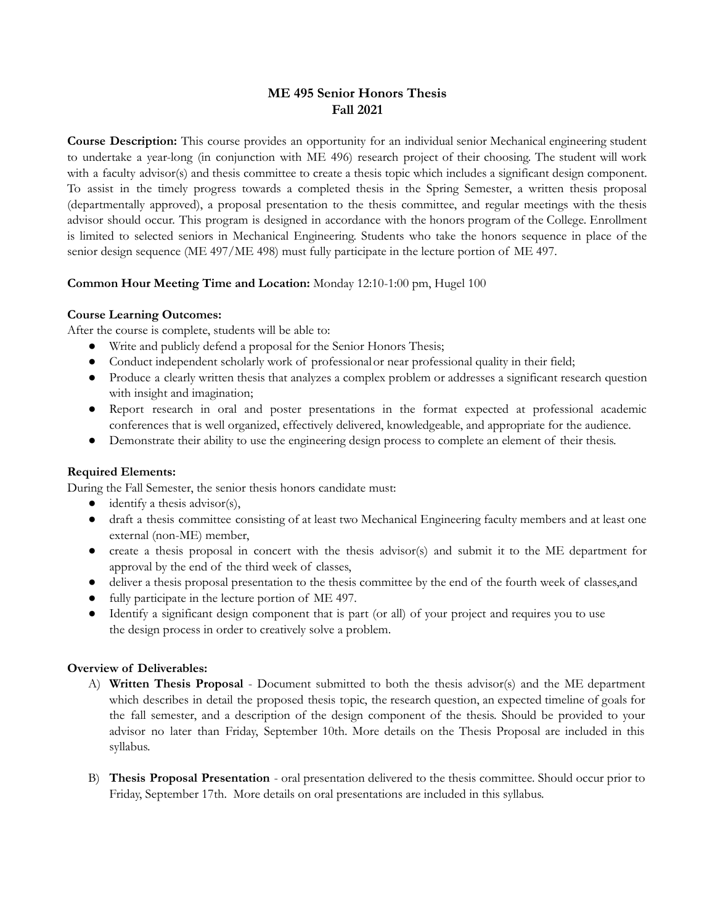# **ME 495 Senior Honors Thesis Fall 2021**

**Course Description:** This course provides an opportunity for an individual senior Mechanical engineering student to undertake a year-long (in conjunction with ME 496) research project of their choosing. The student will work with a faculty advisor(s) and thesis committee to create a thesis topic which includes a significant design component. To assist in the timely progress towards a completed thesis in the Spring Semester, a written thesis proposal (departmentally approved), a proposal presentation to the thesis committee, and regular meetings with the thesis advisor should occur. This program is designed in accordance with the honors program of the College. Enrollment is limited to selected seniors in Mechanical Engineering. Students who take the honors sequence in place of the senior design sequence (ME 497/ME 498) must fully participate in the lecture portion of ME 497.

# **Common Hour Meeting Time and Location:** Monday 12:10-1:00 pm, Hugel 100

# **Course Learning Outcomes:**

After the course is complete, students will be able to:

- Write and publicly defend a proposal for the Senior Honors Thesis;
- Conduct independent scholarly work of professionalor near professional quality in their field;
- Produce a clearly written thesis that analyzes a complex problem or addresses a significant research question with insight and imagination;
- Report research in oral and poster presentations in the format expected at professional academic conferences that is well organized, effectively delivered, knowledgeable, and appropriate for the audience.
- Demonstrate their ability to use the engineering design process to complete an element of their thesis.

# **Required Elements:**

During the Fall Semester, the senior thesis honors candidate must:

- $\bullet$  identify a thesis advisor(s),
- draft a thesis committee consisting of at least two Mechanical Engineering faculty members and at least one external (non-ME) member,
- create a thesis proposal in concert with the thesis advisor(s) and submit it to the ME department for approval by the end of the third week of classes,
- deliver a thesis proposal presentation to the thesis committee by the end of the fourth week of classes,and
- fully participate in the lecture portion of ME 497.
- Identify a significant design component that is part (or all) of your project and requires you to use the design process in order to creatively solve a problem.

# **Overview of Deliverables:**

- A) **Written Thesis Proposal** Document submitted to both the thesis advisor(s) and the ME department which describes in detail the proposed thesis topic, the research question, an expected timeline of goals for the fall semester, and a description of the design component of the thesis. Should be provided to your advisor no later than Friday, September 10th. More details on the Thesis Proposal are included in this syllabus.
- B) **Thesis Proposal Presentation** oral presentation delivered to the thesis committee. Should occur prior to Friday, September 17th. More details on oral presentations are included in this syllabus.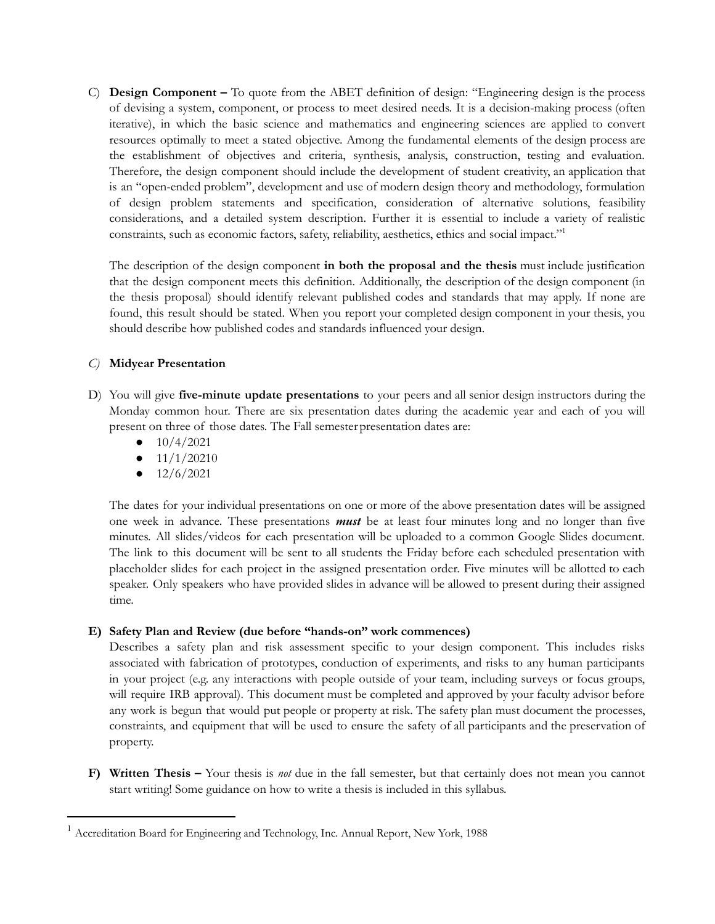C) **Design Component –** To quote from the ABET definition of design: "Engineering design is the process of devising a system, component, or process to meet desired needs. It is a decision-making process (often iterative), in which the basic science and mathematics and engineering sciences are applied to convert resources optimally to meet a stated objective. Among the fundamental elements of the design process are the establishment of objectives and criteria, synthesis, analysis, construction, testing and evaluation. Therefore, the design component should include the development of student creativity, an application that is an "open-ended problem", development and use of modern design theory and methodology, formulation of design problem statements and specification, consideration of alternative solutions, feasibility considerations, and a detailed system description. Further it is essential to include a variety of realistic constraints, such as economic factors, safety, reliability, aesthetics, ethics and social impact." 1

The description of the design component **in both the proposal and the thesis** must include justification that the design component meets this definition. Additionally, the description of the design component (in the thesis proposal) should identify relevant published codes and standards that may apply. If none are found, this result should be stated. When you report your completed design component in your thesis, you should describe how published codes and standards influenced your design.

# *C)* **Midyear Presentation**

- D) You will give **five-minute update presentations** to your peers and all senior design instructors during the Monday common hour. There are six presentation dates during the academic year and each of you will present on three of those dates. The Fall semesterpresentation dates are:
	- 10/4/2021
	- $\bullet$  11/1/20210
	- $\bullet$  12/6/2021

The dates for your individual presentations on one or more of the above presentation dates will be assigned one week in advance. These presentations *must* be at least four minutes long and no longer than five minutes. All slides/videos for each presentation will be uploaded to a common Google Slides document. The link to this document will be sent to all students the Friday before each scheduled presentation with placeholder slides for each project in the assigned presentation order. Five minutes will be allotted to each speaker. Only speakers who have provided slides in advance will be allowed to present during their assigned time.

# **E) Safety Plan and Review (due before "hands-on" work commences)**

Describes a safety plan and risk assessment specific to your design component. This includes risks associated with fabrication of prototypes, conduction of experiments, and risks to any human participants in your project (e.g. any interactions with people outside of your team, including surveys or focus groups, will require IRB approval). This document must be completed and approved by your faculty advisor before any work is begun that would put people or property at risk. The safety plan must document the processes, constraints, and equipment that will be used to ensure the safety of all participants and the preservation of property.

**F) Written Thesis –** Your thesis is *not* due in the fall semester, but that certainly does not mean you cannot start writing! Some guidance on how to write a thesis is included in this syllabus.

<sup>&</sup>lt;sup>1</sup> Accreditation Board for Engineering and Technology, Inc. Annual Report, New York, 1988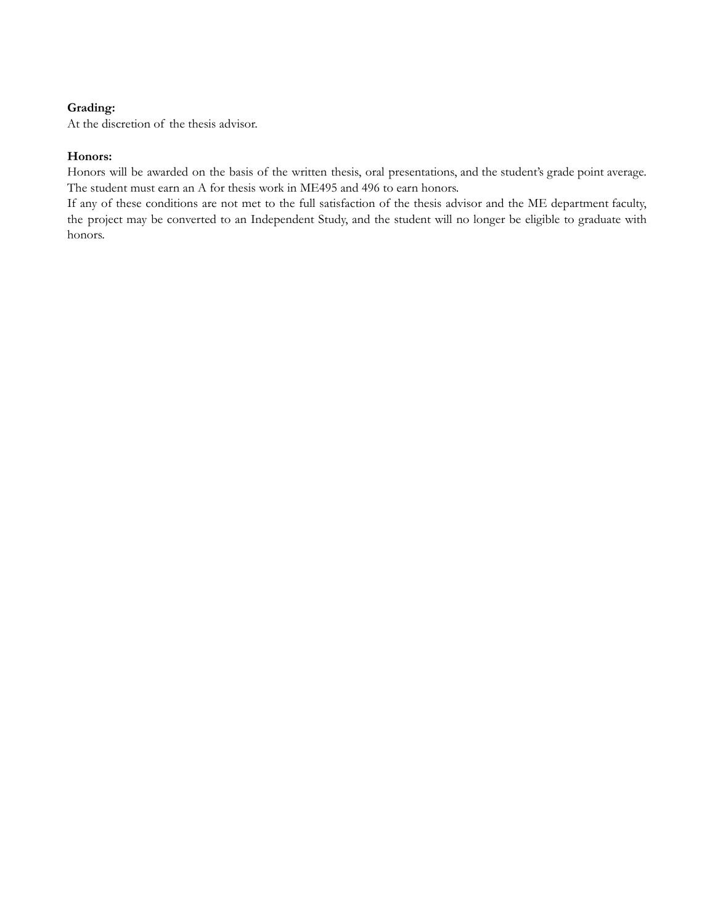# **Grading:**

At the discretion of the thesis advisor.

# **Honors:**

Honors will be awarded on the basis of the written thesis, oral presentations, and the student's grade point average. The student must earn an A for thesis work in ME495 and 496 to earn honors.

If any of these conditions are not met to the full satisfaction of the thesis advisor and the ME department faculty, the project may be converted to an Independent Study, and the student will no longer be eligible to graduate with honors.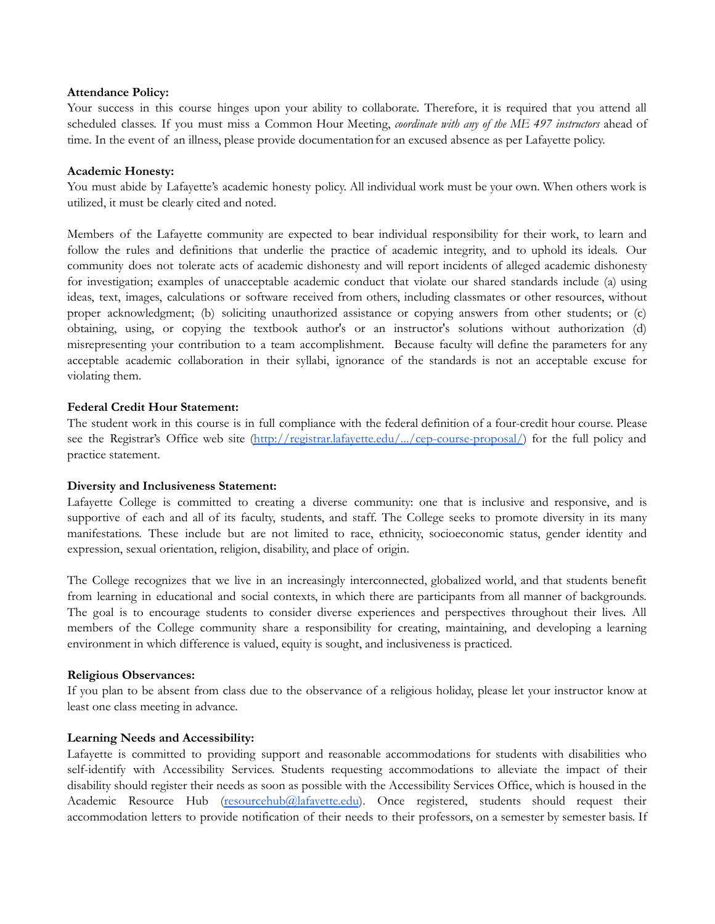#### **Attendance Policy:**

Your success in this course hinges upon your ability to collaborate. Therefore, it is required that you attend all scheduled classes. If you must miss a Common Hour Meeting, *coordinate with any of the ME 497 instructors* ahead of time. In the event of an illness, please provide documentationfor an excused absence as per Lafayette policy.

#### **Academic Honesty:**

You must abide by Lafayette's academic honesty policy. All individual work must be your own. When others work is utilized, it must be clearly cited and noted.

Members of the Lafayette community are expected to bear individual responsibility for their work, to learn and follow the rules and definitions that underlie the practice of academic integrity, and to uphold its ideals. Our community does not tolerate acts of academic dishonesty and will report incidents of alleged academic dishonesty for investigation; examples of unacceptable academic conduct that violate our shared standards include (a) using ideas, text, images, calculations or software received from others, including classmates or other resources, without proper acknowledgment; (b) soliciting unauthorized assistance or copying answers from other students; or (c) obtaining, using, or copying the textbook author's or an instructor's solutions without authorization (d) misrepresenting your contribution to a team accomplishment. Because faculty will define the parameters for any acceptable academic collaboration in their syllabi, ignorance of the standards is not an acceptable excuse for violating them.

#### **Federal Credit Hour Statement:**

The student work in this course is in full compliance with the federal definition of a four-credit hour course. Please see the Registrar's Office web site [\(http://registrar.lafayette.edu/.../cep-course-proposal/](http://registrar.lafayette.edu/additional-resources/cep-course-proposal/)) for the full policy and practice statement.

#### **Diversity and Inclusiveness Statement:**

Lafayette College is committed to creating a diverse community: one that is inclusive and responsive, and is supportive of each and all of its faculty, students, and staff. The College seeks to promote diversity in its many manifestations. These include but are not limited to race, ethnicity, socioeconomic status, gender identity and expression, sexual orientation, religion, disability, and place of origin.

The College recognizes that we live in an increasingly interconnected, globalized world, and that students benefit from learning in educational and social contexts, in which there are participants from all manner of backgrounds. The goal is to encourage students to consider diverse experiences and perspectives throughout their lives. All members of the College community share a responsibility for creating, maintaining, and developing a learning environment in which difference is valued, equity is sought, and inclusiveness is practiced.

#### **Religious Observances:**

If you plan to be absent from class due to the observance of a religious holiday, please let your instructor know at least one class meeting in advance.

#### **Learning Needs and Accessibility:**

Lafayette is committed to providing support and reasonable accommodations for students with disabilities who self-identify with Accessibility Services. Students requesting accommodations to alleviate the impact of their disability should register their needs as soon as possible with the Accessibility Services Office, which is housed in the Academic Resource Hub [\(resourcehub@lafayette.edu](mailto:resourcehub@lafayette.edu)). Once registered, students should request their accommodation letters to provide notification of their needs to their professors, on a semester by semester basis. If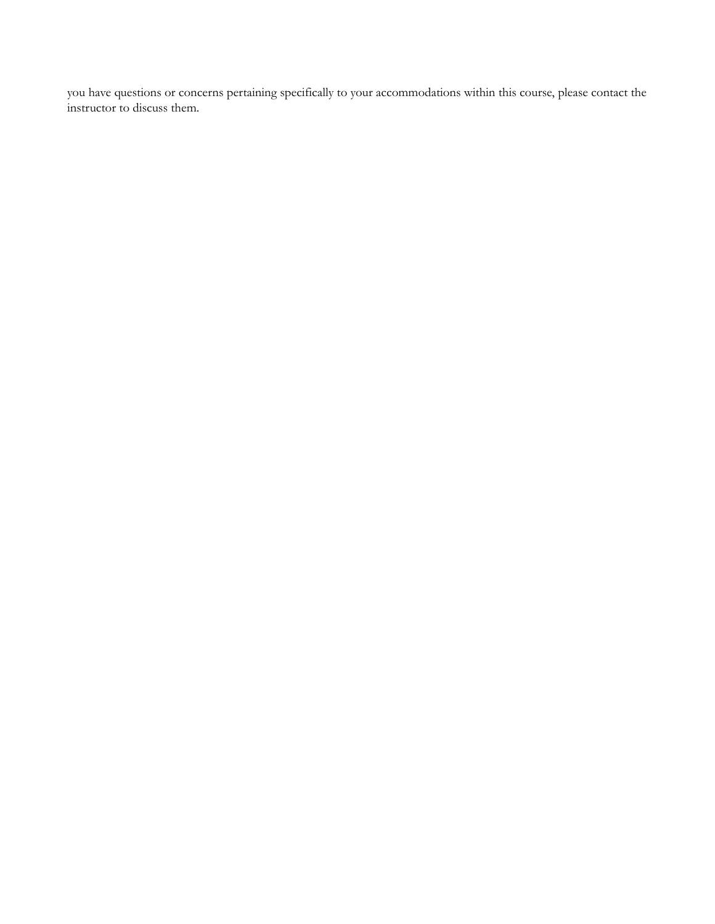you have questions or concerns pertaining specifically to your accommodations within this course, please contact the instructor to discuss them.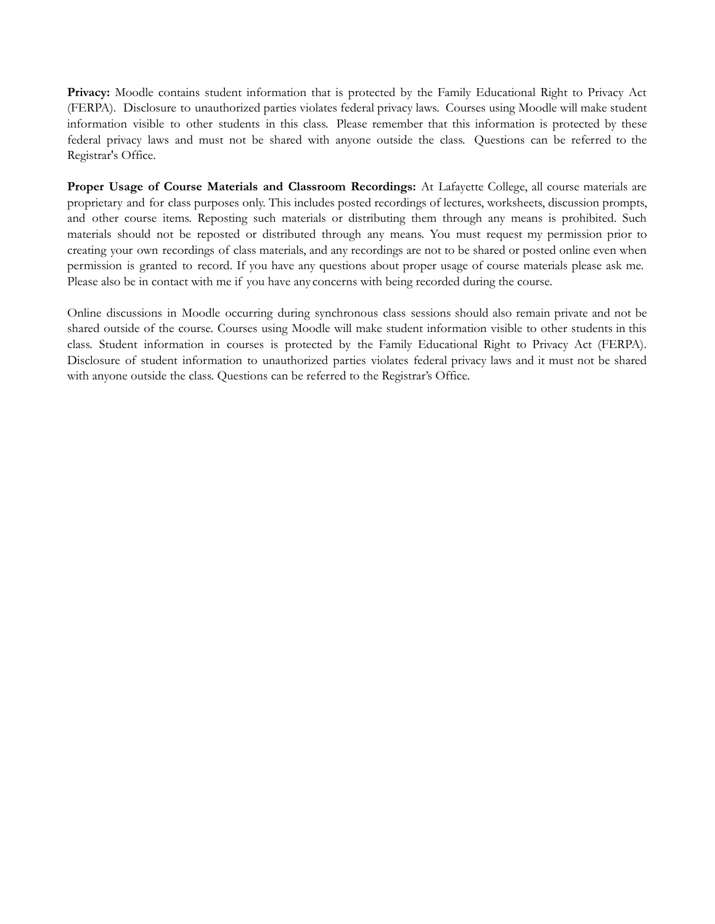**Privacy:** Moodle contains student information that is protected by the Family Educational Right to Privacy Act (FERPA). Disclosure to unauthorized parties violates federal privacy laws. Courses using Moodle will make student information visible to other students in this class. Please remember that this information is protected by these federal privacy laws and must not be shared with anyone outside the class. Questions can be referred to the Registrar's Office.

**Proper Usage of Course Materials and Classroom Recordings:** At Lafayette College, all course materials are proprietary and for class purposes only. This includes posted recordings of lectures, worksheets, discussion prompts, and other course items. Reposting such materials or distributing them through any means is prohibited. Such materials should not be reposted or distributed through any means. You must request my permission prior to creating your own recordings of class materials, and any recordings are not to be shared or posted online even when permission is granted to record. If you have any questions about proper usage of course materials please ask me. Please also be in contact with me if you have any concerns with being recorded during the course.

Online discussions in Moodle occurring during synchronous class sessions should also remain private and not be shared outside of the course. Courses using Moodle will make student information visible to other students in this class. Student information in courses is protected by the Family Educational Right to Privacy Act (FERPA). Disclosure of student information to unauthorized parties violates federal privacy laws and it must not be shared with anyone outside the class. Questions can be referred to the Registrar's Office.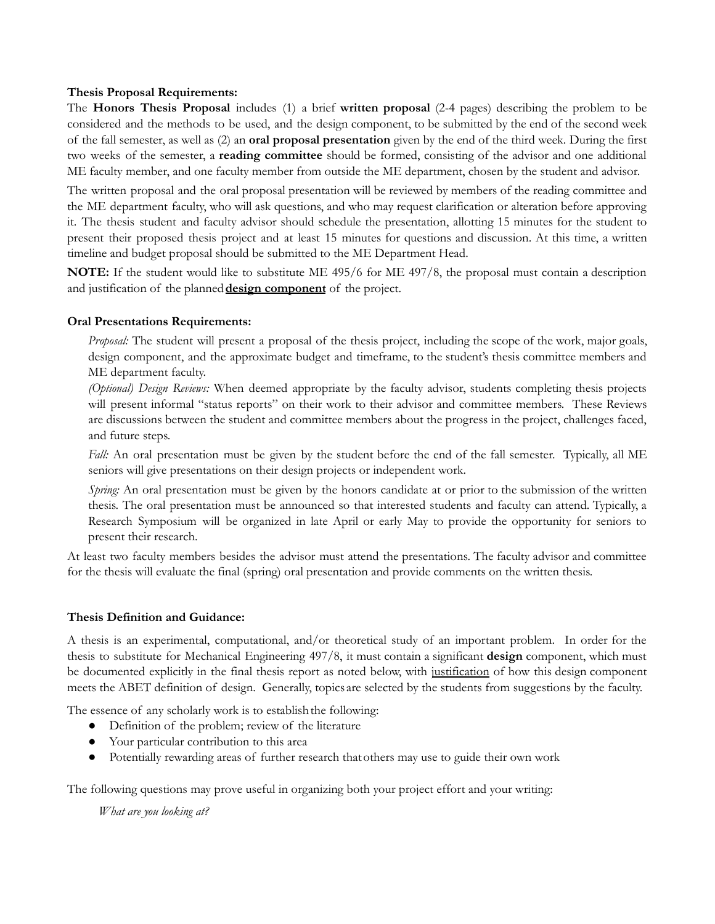### **Thesis Proposal Requirements:**

The **Honors Thesis Proposal** includes (1) a brief **written proposal** (2-4 pages) describing the problem to be considered and the methods to be used, and the design component, to be submitted by the end of the second week of the fall semester, as well as (2) an **oral proposal presentation** given by the end of the third week. During the first two weeks of the semester, a **reading committee** should be formed, consisting of the advisor and one additional ME faculty member, and one faculty member from outside the ME department, chosen by the student and advisor.

The written proposal and the oral proposal presentation will be reviewed by members of the reading committee and the ME department faculty, who will ask questions, and who may request clarification or alteration before approving it. The thesis student and faculty advisor should schedule the presentation, allotting 15 minutes for the student to present their proposed thesis project and at least 15 minutes for questions and discussion. At this time, a written timeline and budget proposal should be submitted to the ME Department Head.

**NOTE:** If the student would like to substitute ME 495/6 for ME 497/8, the proposal must contain a description and justification of the planned**design component** of the project.

# **Oral Presentations Requirements:**

*Proposal:* The student will present a proposal of the thesis project, including the scope of the work, major goals, design component, and the approximate budget and timeframe, to the student's thesis committee members and ME department faculty.

*(Optional) Design Reviews:* When deemed appropriate by the faculty advisor, students completing thesis projects will present informal "status reports" on their work to their advisor and committee members. These Reviews are discussions between the student and committee members about the progress in the project, challenges faced, and future steps.

*Fall:* An oral presentation must be given by the student before the end of the fall semester. Typically, all ME seniors will give presentations on their design projects or independent work.

*Spring:* An oral presentation must be given by the honors candidate at or prior to the submission of the written thesis. The oral presentation must be announced so that interested students and faculty can attend. Typically, a Research Symposium will be organized in late April or early May to provide the opportunity for seniors to present their research.

At least two faculty members besides the advisor must attend the presentations. The faculty advisor and committee for the thesis will evaluate the final (spring) oral presentation and provide comments on the written thesis.

#### **Thesis Definition and Guidance:**

A thesis is an experimental, computational, and/or theoretical study of an important problem. In order for the thesis to substitute for Mechanical Engineering 497/8, it must contain a significant **design** component, which must be documented explicitly in the final thesis report as noted below, with justification of how this design component meets the ABET definition of design. Generally, topics are selected by the students from suggestions by the faculty.

The essence of any scholarly work is to establishthe following:

- Definition of the problem; review of the literature
- Your particular contribution to this area
- Potentially rewarding areas of further research thatothers may use to guide their own work

The following questions may prove useful in organizing both your project effort and your writing:

*What are you looking at?*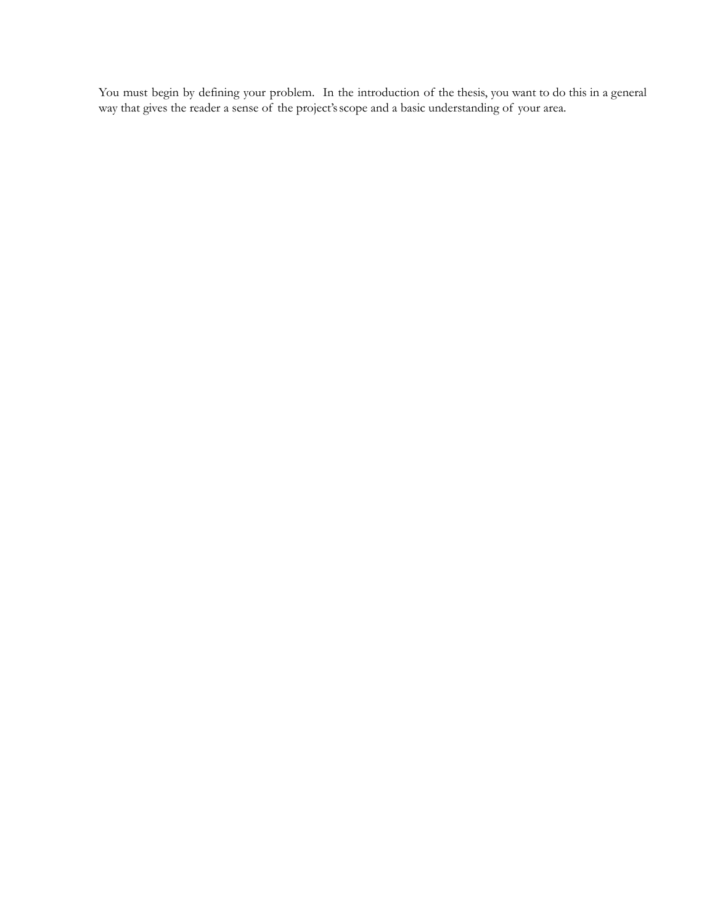You must begin by defining your problem. In the introduction of the thesis, you want to do this in a general way that gives the reader a sense of the project'sscope and a basic understanding of your area.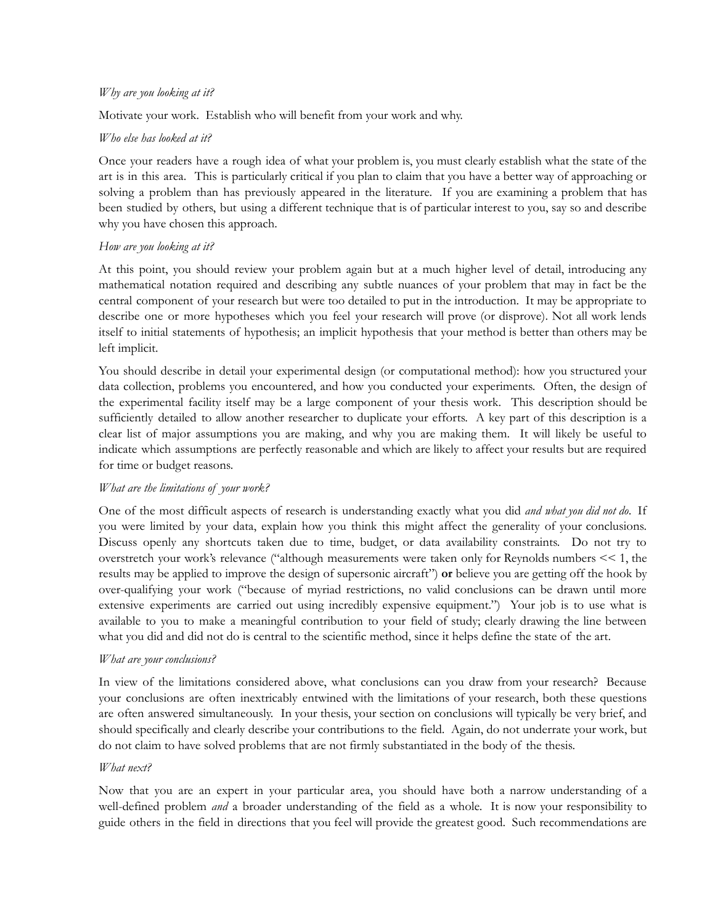### *Why are you looking at it?*

Motivate your work. Establish who will benefit from your work and why.

# *Who else has looked at it?*

Once your readers have a rough idea of what your problem is, you must clearly establish what the state of the art is in this area. This is particularly critical if you plan to claim that you have a better way of approaching or solving a problem than has previously appeared in the literature. If you are examining a problem that has been studied by others, but using a different technique that is of particular interest to you, say so and describe why you have chosen this approach.

# *How are you looking at it?*

At this point, you should review your problem again but at a much higher level of detail, introducing any mathematical notation required and describing any subtle nuances of your problem that may in fact be the central component of your research but were too detailed to put in the introduction. It may be appropriate to describe one or more hypotheses which you feel your research will prove (or disprove). Not all work lends itself to initial statements of hypothesis; an implicit hypothesis that your method is better than others may be left implicit.

You should describe in detail your experimental design (or computational method): how you structured your data collection, problems you encountered, and how you conducted your experiments. Often, the design of the experimental facility itself may be a large component of your thesis work. This description should be sufficiently detailed to allow another researcher to duplicate your efforts. A key part of this description is a clear list of major assumptions you are making, and why you are making them. It will likely be useful to indicate which assumptions are perfectly reasonable and which are likely to affect your results but are required for time or budget reasons.

#### *What are the limitations of your work?*

One of the most difficult aspects of research is understanding exactly what you did *and what you did not do*. If you were limited by your data, explain how you think this might affect the generality of your conclusions. Discuss openly any shortcuts taken due to time, budget, or data availability constraints. Do not try to overstretch your work's relevance ("although measurements were taken only for Reynolds numbers << 1, the results may be applied to improve the design of supersonic aircraft") **or** believe you are getting off the hook by over-qualifying your work ("because of myriad restrictions, no valid conclusions can be drawn until more extensive experiments are carried out using incredibly expensive equipment.") Your job is to use what is available to you to make a meaningful contribution to your field of study; clearly drawing the line between what you did and did not do is central to the scientific method, since it helps define the state of the art.

# *What are your conclusions?*

In view of the limitations considered above, what conclusions can you draw from your research? Because your conclusions are often inextricably entwined with the limitations of your research, both these questions are often answered simultaneously. In your thesis, your section on conclusions will typically be very brief, and should specifically and clearly describe your contributions to the field. Again, do not underrate your work, but do not claim to have solved problems that are not firmly substantiated in the body of the thesis.

# *What next?*

Now that you are an expert in your particular area, you should have both a narrow understanding of a well-defined problem *and* a broader understanding of the field as a whole. It is now your responsibility to guide others in the field in directions that you feel will provide the greatest good. Such recommendations are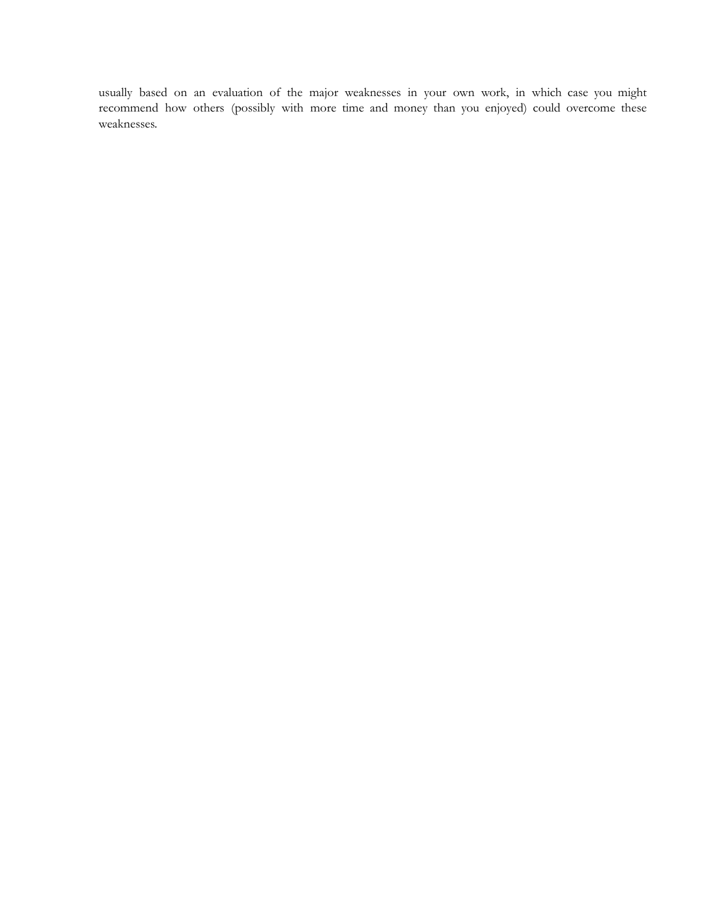usually based on an evaluation of the major weaknesses in your own work, in which case you might recommend how others (possibly with more time and money than you enjoyed) could overcome these weaknesses.